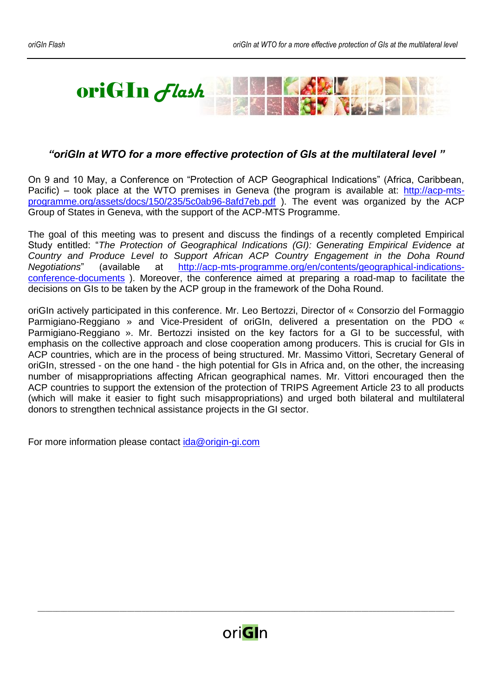

## *"oriGIn at WTO for a more effective protection of GIs at the multilateral level "*

On 9 and 10 May, a Conference on "Protection of ACP Geographical Indications" (Africa, Caribbean, Pacific) – took place at the WTO premises in Geneva (the program is available at: [http://acp-mts](http://acp-mts-programme.org/assets/docs/150/235/5c0ab96-8afd7eb.pdf)[programme.org/assets/docs/150/235/5c0ab96-8afd7eb.pdf](http://acp-mts-programme.org/assets/docs/150/235/5c0ab96-8afd7eb.pdf) ). The event was organized by the ACP Group of States in Geneva, with the support of the ACP-MTS Programme.

The goal of this meeting was to present and discuss the findings of a recently completed Empirical Study entitled: "*The Protection of Geographical Indications (GI): Generating Empirical Evidence at Country and Produce Level to Support African ACP Country Engagement in the Doha Round Negotiations*" (available at [http://acp-mts-programme.org/en/contents/geographical-indications](http://acp-mts-programme.org/en/contents/geographical-indications-conference-documents)[conference-documents](http://acp-mts-programme.org/en/contents/geographical-indications-conference-documents) ). Moreover, the conference aimed at preparing a road-map to facilitate the decisions on GIs to be taken by the ACP group in the framework of the Doha Round.

oriGIn actively participated in this conference. Mr. Leo Bertozzi, Director of « Consorzio del Formaggio Parmigiano-Reggiano » and Vice-President of oriGIn, delivered a presentation on the PDO « Parmigiano-Reggiano ». Mr. Bertozzi insisted on the key factors for a GI to be successful, with emphasis on the collective approach and close cooperation among producers. This is crucial for GIs in ACP countries, which are in the process of being structured. Mr. Massimo Vittori, Secretary General of oriGIn, stressed - on the one hand - the high potential for GIs in Africa and, on the other, the increasing number of misappropriations affecting African geographical names. Mr. Vittori encouraged then the ACP countries to support the extension of the protection of TRIPS Agreement Article 23 to all products (which will make it easier to fight such misappropriations) and urged both bilateral and multilateral donors to strengthen technical assistance projects in the GI sector.

For more information please contact [ida@origin-gi.com](mailto:ida@origin-gi.com)



*\_\_\_\_\_\_\_\_\_\_\_\_\_\_\_\_\_\_\_\_\_\_\_\_\_\_\_\_\_\_\_\_\_\_\_\_\_\_\_\_\_\_\_\_\_\_\_\_\_\_\_\_\_\_\_\_\_\_\_\_\_\_\_\_\_\_\_\_\_\_\_\_\_\_\_\_\_\_\_\_\_\_\_\_\_\_\_\_\_\_\_\_\_\_\_\_\_\_\_\_\_\_\_\_\_\_\_\_\_\_\_\_*